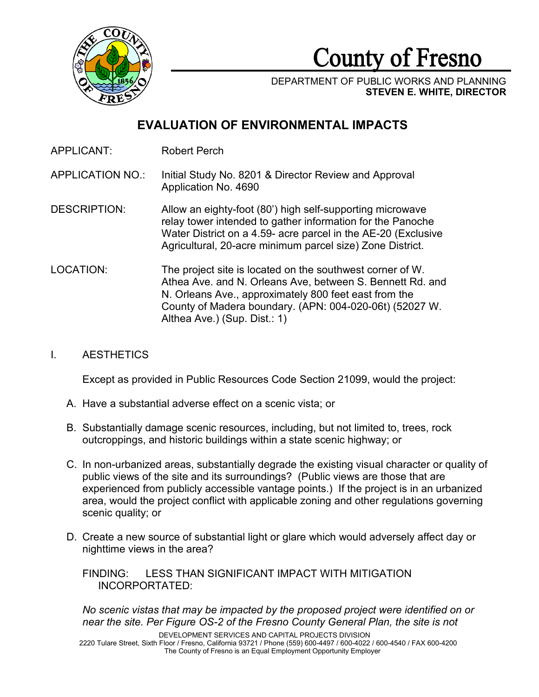

County of Fresno

DEPARTMENT OF PUBLIC WORKS AND PLANNING **STEVEN E. WHITE, DIRECTOR**

# **EVALUATION OF ENVIRONMENTAL IMPACTS**

APPLICANT: Robert Perch

APPLICATION NO.: Initial Study No. 8201 & Director Review and Approval Application No. 4690

- DESCRIPTION: Allow an eighty-foot (80') high self-supporting microwave relay tower intended to gather information for the Panoche Water District on a 4.59- acre parcel in the AE-20 (Exclusive Agricultural, 20-acre minimum parcel size) Zone District.
- LOCATION: The project site is located on the southwest corner of W. Athea Ave. and N. Orleans Ave, between S. Bennett Rd. and N. Orleans Ave., approximately 800 feet east from the County of Madera boundary. (APN: 004-020-06t) (52027 W. Althea Ave.) (Sup. Dist.: 1)

### I. AESTHETICS

Except as provided in Public Resources Code Section 21099, would the project:

- A. Have a substantial adverse effect on a scenic vista; or
- B. Substantially damage scenic resources, including, but not limited to, trees, rock outcroppings, and historic buildings within a state scenic highway; or
- C. In non-urbanized areas, substantially degrade the existing visual character or quality of public views of the site and its surroundings? (Public views are those that are experienced from publicly accessible vantage points.) If the project is in an urbanized area, would the project conflict with applicable zoning and other regulations governing scenic quality; or
- D. Create a new source of substantial light or glare which would adversely affect day or nighttime views in the area?

FINDING: LESS THAN SIGNIFICANT IMPACT WITH MITIGATION INCORPORTATED:

*No scenic vistas that may be impacted by the proposed project were identified on or near the site. Per Figure OS-2 of the Fresno County General Plan, the site is not* 

DEVELOPMENT SERVICES AND CAPITAL PROJECTS DIVISION 2220 Tulare Street, Sixth Floor / Fresno, California 93721 / Phone (559) 600-4497 / 600-4022 / 600-4540 / FAX 600-4200 The County of Fresno is an Equal Employment Opportunity Employer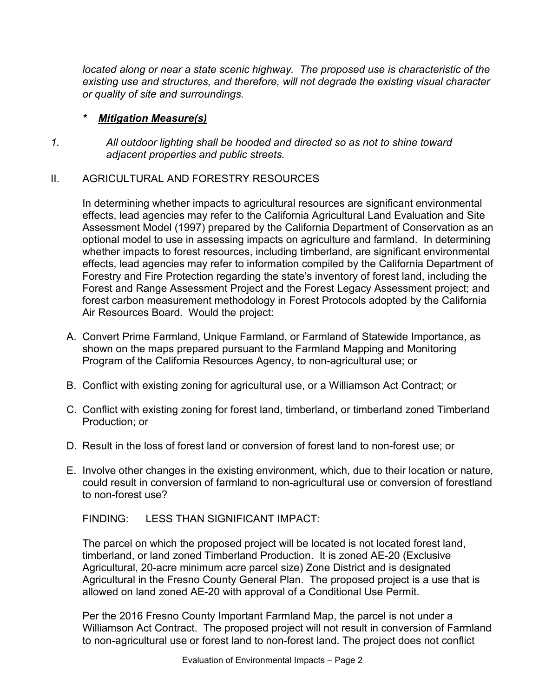located along or near a state scenic highway. The proposed use is characteristic of the *existing use and structures, and therefore, will not degrade the existing visual character or quality of site and surroundings.* 

### *\* Mitigation Measure(s)*

*1. All outdoor lighting shall be hooded and directed so as not to shine toward adjacent properties and public streets.*

### II. AGRICULTURAL AND FORESTRY RESOURCES

In determining whether impacts to agricultural resources are significant environmental effects, lead agencies may refer to the California Agricultural Land Evaluation and Site Assessment Model (1997) prepared by the California Department of Conservation as an optional model to use in assessing impacts on agriculture and farmland. In determining whether impacts to forest resources, including timberland, are significant environmental effects, lead agencies may refer to information compiled by the California Department of Forestry and Fire Protection regarding the state's inventory of forest land, including the Forest and Range Assessment Project and the Forest Legacy Assessment project; and forest carbon measurement methodology in Forest Protocols adopted by the California Air Resources Board. Would the project:

- A. Convert Prime Farmland, Unique Farmland, or Farmland of Statewide Importance, as shown on the maps prepared pursuant to the Farmland Mapping and Monitoring Program of the California Resources Agency, to non-agricultural use; or
- B. Conflict with existing zoning for agricultural use, or a Williamson Act Contract; or
- C. Conflict with existing zoning for forest land, timberland, or timberland zoned Timberland Production; or
- D. Result in the loss of forest land or conversion of forest land to non-forest use; or
- E. Involve other changes in the existing environment, which, due to their location or nature, could result in conversion of farmland to non-agricultural use or conversion of forestland to non-forest use?

FINDING: LESS THAN SIGNIFICANT IMPACT:

The parcel on which the proposed project will be located is not located forest land, timberland, or land zoned Timberland Production. It is zoned AE-20 (Exclusive Agricultural, 20-acre minimum acre parcel size) Zone District and is designated Agricultural in the Fresno County General Plan. The proposed project is a use that is allowed on land zoned AE-20 with approval of a Conditional Use Permit.

Per the 2016 Fresno County Important Farmland Map, the parcel is not under a Williamson Act Contract. The proposed project will not result in conversion of Farmland to non-agricultural use or forest land to non-forest land. The project does not conflict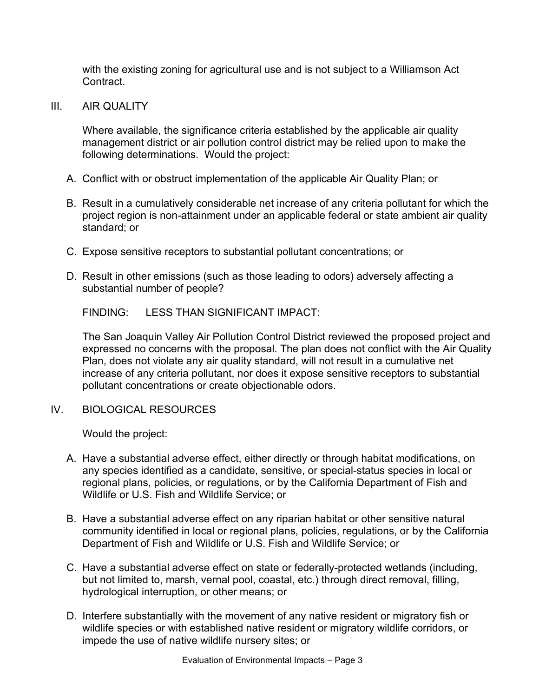with the existing zoning for agricultural use and is not subject to a Williamson Act **Contract** 

III. AIR QUALITY

Where available, the significance criteria established by the applicable air quality management district or air pollution control district may be relied upon to make the following determinations. Would the project:

- A. Conflict with or obstruct implementation of the applicable Air Quality Plan; or
- B. Result in a cumulatively considerable net increase of any criteria pollutant for which the project region is non-attainment under an applicable federal or state ambient air quality standard; or
- C. Expose sensitive receptors to substantial pollutant concentrations; or
- D. Result in other emissions (such as those leading to odors) adversely affecting a substantial number of people?

FINDING: LESS THAN SIGNIFICANT IMPACT:

The San Joaquin Valley Air Pollution Control District reviewed the proposed project and expressed no concerns with the proposal. The plan does not conflict with the Air Quality Plan, does not violate any air quality standard, will not result in a cumulative net increase of any criteria pollutant, nor does it expose sensitive receptors to substantial pollutant concentrations or create objectionable odors.

IV. BIOLOGICAL RESOURCES

- A. Have a substantial adverse effect, either directly or through habitat modifications, on any species identified as a candidate, sensitive, or special-status species in local or regional plans, policies, or regulations, or by the California Department of Fish and Wildlife or U.S. Fish and Wildlife Service; or
- B. Have a substantial adverse effect on any riparian habitat or other sensitive natural community identified in local or regional plans, policies, regulations, or by the California Department of Fish and Wildlife or U.S. Fish and Wildlife Service; or
- C. Have a substantial adverse effect on state or federally-protected wetlands (including, but not limited to, marsh, vernal pool, coastal, etc.) through direct removal, filling, hydrological interruption, or other means; or
- D. Interfere substantially with the movement of any native resident or migratory fish or wildlife species or with established native resident or migratory wildlife corridors, or impede the use of native wildlife nursery sites; or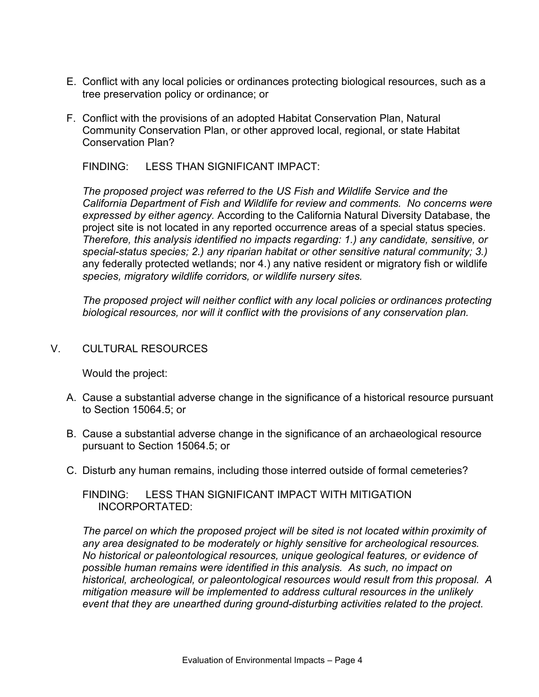- E. Conflict with any local policies or ordinances protecting biological resources, such as a tree preservation policy or ordinance; or
- F. Conflict with the provisions of an adopted Habitat Conservation Plan, Natural Community Conservation Plan, or other approved local, regional, or state Habitat Conservation Plan?

*The proposed project was referred to the US Fish and Wildlife Service and the California Department of Fish and Wildlife for review and comments. No concerns were expressed by either agency.* According to the California Natural Diversity Database, the project site is not located in any reported occurrence areas of a special status species. *Therefore, this analysis identified no impacts regarding: 1.) any candidate, sensitive, or special-status species; 2.) any riparian habitat or other sensitive natural community; 3.)*  any federally protected wetlands; nor 4.) any native resident or migratory fish or wildlife *species, migratory wildlife corridors, or wildlife nursery sites.*

*The proposed project will neither conflict with any local policies or ordinances protecting biological resources, nor will it conflict with the provisions of any conservation plan.*

### V. CULTURAL RESOURCES

Would the project:

- A. Cause a substantial adverse change in the significance of a historical resource pursuant to Section 15064.5; or
- B. Cause a substantial adverse change in the significance of an archaeological resource pursuant to Section 15064.5; or
- C. Disturb any human remains, including those interred outside of formal cemeteries?

FINDING: LESS THAN SIGNIFICANT IMPACT WITH MITIGATION INCORPORTATED:

*The parcel on which the proposed project will be sited is not located within proximity of any area designated to be moderately or highly sensitive for archeological resources. No historical or paleontological resources, unique geological features, or evidence of possible human remains were identified in this analysis. As such, no impact on historical, archeological, or paleontological resources would result from this proposal. A mitigation measure will be implemented to address cultural resources in the unlikely event that they are unearthed during ground-disturbing activities related to the project.*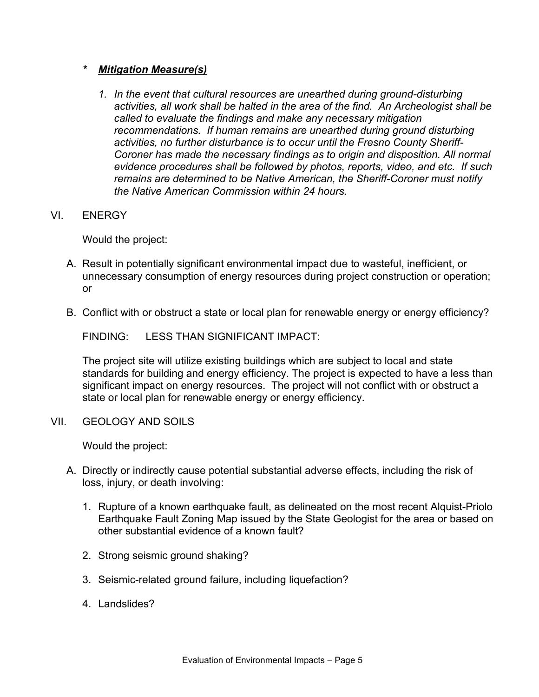### *\* Mitigation Measure(s)*

- *1. In the event that cultural resources are unearthed during ground-disturbing activities, all work shall be halted in the area of the find. An Archeologist shall be called to evaluate the findings and make any necessary mitigation recommendations. If human remains are unearthed during ground disturbing activities, no further disturbance is to occur until the Fresno County Sheriff-Coroner has made the necessary findings as to origin and disposition. All normal evidence procedures shall be followed by photos, reports, video, and etc. If such remains are determined to be Native American, the Sheriff-Coroner must notify the Native American Commission within 24 hours.*
- VI. ENERGY

Would the project:

- A. Result in potentially significant environmental impact due to wasteful, inefficient, or unnecessary consumption of energy resources during project construction or operation; or
- B. Conflict with or obstruct a state or local plan for renewable energy or energy efficiency?

FINDING: LESS THAN SIGNIFICANT IMPACT:

The project site will utilize existing buildings which are subject to local and state standards for building and energy efficiency. The project is expected to have a less than significant impact on energy resources. The project will not conflict with or obstruct a state or local plan for renewable energy or energy efficiency.

VII. GEOLOGY AND SOILS

- A. Directly or indirectly cause potential substantial adverse effects, including the risk of loss, injury, or death involving:
	- 1. Rupture of a known earthquake fault, as delineated on the most recent Alquist-Priolo Earthquake Fault Zoning Map issued by the State Geologist for the area or based on other substantial evidence of a known fault?
	- 2. Strong seismic ground shaking?
	- 3. Seismic-related ground failure, including liquefaction?
	- 4. Landslides?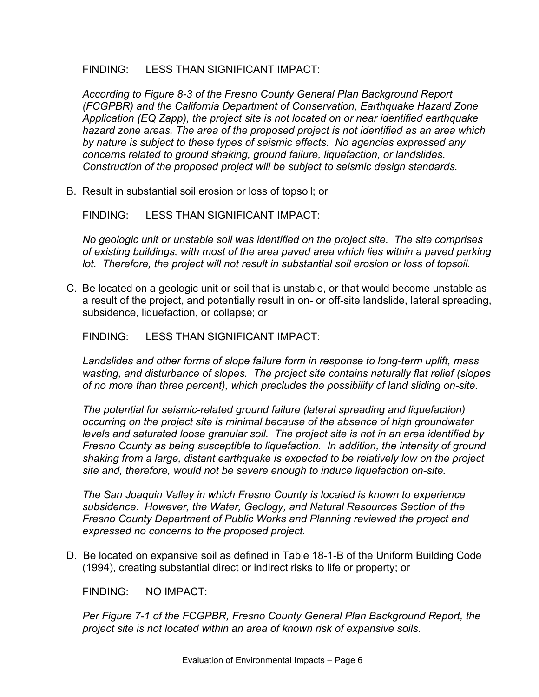*According to Figure 8-3 of the Fresno County General Plan Background Report (FCGPBR) and the California Department of Conservation, Earthquake Hazard Zone Application (EQ Zapp), the project site is not located on or near identified earthquake hazard zone areas. The area of the proposed project is not identified as an area which by nature is subject to these types of seismic effects. No agencies expressed any concerns related to ground shaking, ground failure, liquefaction, or landslides. Construction of the proposed project will be subject to seismic design standards.*

B. Result in substantial soil erosion or loss of topsoil; or

FINDING: LESS THAN SIGNIFICANT IMPACT:

*No geologic unit or unstable soil was identified on the project site. The site comprises of existing buildings, with most of the area paved area which lies within a paved parking lot. Therefore, the project will not result in substantial soil erosion or loss of topsoil.*

C. Be located on a geologic unit or soil that is unstable, or that would become unstable as a result of the project, and potentially result in on- or off-site landslide, lateral spreading, subsidence, liquefaction, or collapse; or

FINDING: LESS THAN SIGNIFICANT IMPACT:

*Landslides and other forms of slope failure form in response to long-term uplift, mass wasting, and disturbance of slopes. The project site contains naturally flat relief (slopes of no more than three percent), which precludes the possibility of land sliding on-site.*

*The potential for seismic-related ground failure (lateral spreading and liquefaction) occurring on the project site is minimal because of the absence of high groundwater levels and saturated loose granular soil. The project site is not in an area identified by Fresno County as being susceptible to liquefaction. In addition, the intensity of ground shaking from a large, distant earthquake is expected to be relatively low on the project site and, therefore, would not be severe enough to induce liquefaction on-site.* 

*The San Joaquin Valley in which Fresno County is located is known to experience subsidence. However, the Water, Geology, and Natural Resources Section of the Fresno County Department of Public Works and Planning reviewed the project and expressed no concerns to the proposed project.* 

D. Be located on expansive soil as defined in Table 18-1-B of the Uniform Building Code (1994), creating substantial direct or indirect risks to life or property; or

FINDING: NO IMPACT:

Per Figure 7-1 of the FCGPBR, Fresno County General Plan Background Report, the *project site is not located within an area of known risk of expansive soils.*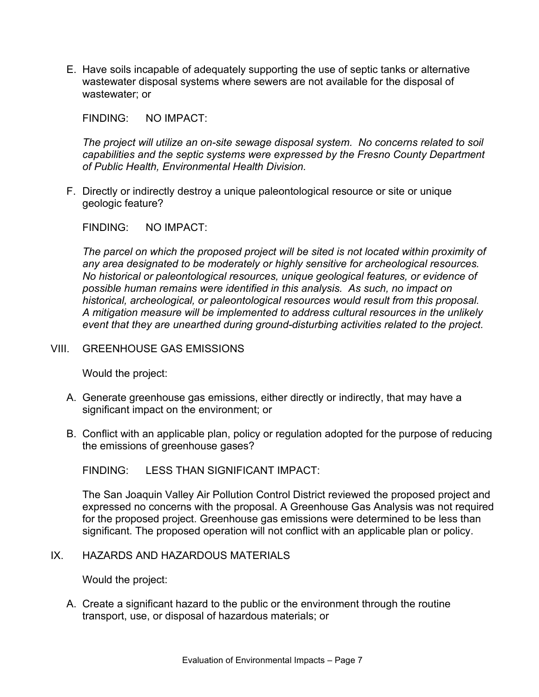E. Have soils incapable of adequately supporting the use of septic tanks or alternative wastewater disposal systems where sewers are not available for the disposal of wastewater; or

FINDING: NO IMPACT:

*The project will utilize an on-site sewage disposal system. No concerns related to soil capabilities and the septic systems were expressed by the Fresno County Department of Public Health, Environmental Health Division.*

F. Directly or indirectly destroy a unique paleontological resource or site or unique geologic feature?

FINDING: NO IMPACT:

*The parcel on which the proposed project will be sited is not located within proximity of any area designated to be moderately or highly sensitive for archeological resources. No historical or paleontological resources, unique geological features, or evidence of possible human remains were identified in this analysis. As such, no impact on historical, archeological, or paleontological resources would result from this proposal. A mitigation measure will be implemented to address cultural resources in the unlikely event that they are unearthed during ground-disturbing activities related to the project.*

#### VIII. GREENHOUSE GAS EMISSIONS

Would the project:

- A. Generate greenhouse gas emissions, either directly or indirectly, that may have a significant impact on the environment; or
- B. Conflict with an applicable plan, policy or regulation adopted for the purpose of reducing the emissions of greenhouse gases?

FINDING: LESS THAN SIGNIFICANT IMPACT:

The San Joaquin Valley Air Pollution Control District reviewed the proposed project and expressed no concerns with the proposal. A Greenhouse Gas Analysis was not required for the proposed project. Greenhouse gas emissions were determined to be less than significant. The proposed operation will not conflict with an applicable plan or policy.

IX. HAZARDS AND HAZARDOUS MATERIALS

Would the project:

A. Create a significant hazard to the public or the environment through the routine transport, use, or disposal of hazardous materials; or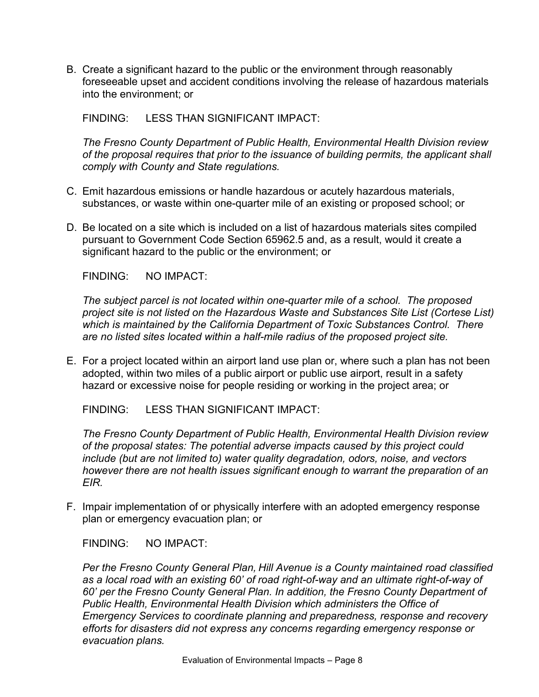B. Create a significant hazard to the public or the environment through reasonably foreseeable upset and accident conditions involving the release of hazardous materials into the environment; or

FINDING: LESS THAN SIGNIFICANT IMPACT:

*The Fresno County Department of Public Health, Environmental Health Division review of the proposal requires that prior to the issuance of building permits, the applicant shall comply with County and State regulations.*

- C. Emit hazardous emissions or handle hazardous or acutely hazardous materials, substances, or waste within one-quarter mile of an existing or proposed school; or
- D. Be located on a site which is included on a list of hazardous materials sites compiled pursuant to Government Code Section 65962.5 and, as a result, would it create a significant hazard to the public or the environment; or

FINDING: NO IMPACT:

*The subject parcel is not located within one-quarter mile of a school. The proposed project site is not listed on the Hazardous Waste and Substances Site List (Cortese List) which is maintained by the California Department of Toxic Substances Control. There are no listed sites located within a half-mile radius of the proposed project site.*

E. For a project located within an airport land use plan or, where such a plan has not been adopted, within two miles of a public airport or public use airport, result in a safety hazard or excessive noise for people residing or working in the project area; or

FINDING: LESS THAN SIGNIFICANT IMPACT:

*The Fresno County Department of Public Health, Environmental Health Division review of the proposal states: The potential adverse impacts caused by this project could include (but are not limited to) water quality degradation, odors, noise, and vectors however there are not health issues significant enough to warrant the preparation of an EIR.* 

F. Impair implementation of or physically interfere with an adopted emergency response plan or emergency evacuation plan; or

FINDING: NO IMPACT:

*Per the Fresno County General Plan, Hill Avenue is a County maintained road classified as a local road with an existing 60' of road right-of-way and an ultimate right-of-way of 60' per the Fresno County General Plan. In addition, the Fresno County Department of Public Health, Environmental Health Division which administers the Office of Emergency Services to coordinate planning and preparedness, response and recovery efforts for disasters did not express any concerns regarding emergency response or evacuation plans.*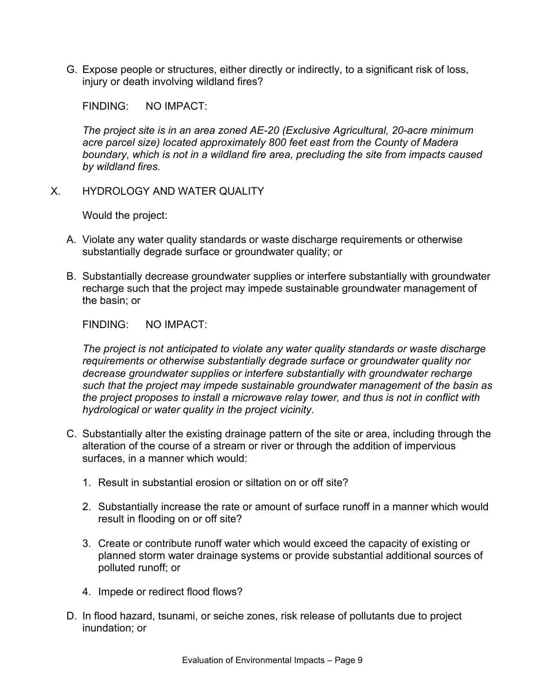G. Expose people or structures, either directly or indirectly, to a significant risk of loss, injury or death involving wildland fires?

FINDING: NO IMPACT:

*The project site is in an area zoned AE-20 (Exclusive Agricultural, 20-acre minimum acre parcel size) located approximately 800 feet east from the County of Madera boundary, which is not in a wildland fire area, precluding the site from impacts caused by wildland fires.*

X. HYDROLOGY AND WATER QUALITY

Would the project:

- A. Violate any water quality standards or waste discharge requirements or otherwise substantially degrade surface or groundwater quality; or
- B. Substantially decrease groundwater supplies or interfere substantially with groundwater recharge such that the project may impede sustainable groundwater management of the basin; or

FINDING: NO IMPACT:

*The project is not anticipated to violate any water quality standards or waste discharge requirements or otherwise substantially degrade surface or groundwater quality nor decrease groundwater supplies or interfere substantially with groundwater recharge such that the project may impede sustainable groundwater management of the basin as the project proposes to install a microwave relay tower, and thus is not in conflict with hydrological or water quality in the project vicinity.*

- C. Substantially alter the existing drainage pattern of the site or area, including through the alteration of the course of a stream or river or through the addition of impervious surfaces, in a manner which would:
	- 1. Result in substantial erosion or siltation on or off site?
	- 2. Substantially increase the rate or amount of surface runoff in a manner which would result in flooding on or off site?
	- 3. Create or contribute runoff water which would exceed the capacity of existing or planned storm water drainage systems or provide substantial additional sources of polluted runoff; or
	- 4. Impede or redirect flood flows?
- D. In flood hazard, tsunami, or seiche zones, risk release of pollutants due to project inundation; or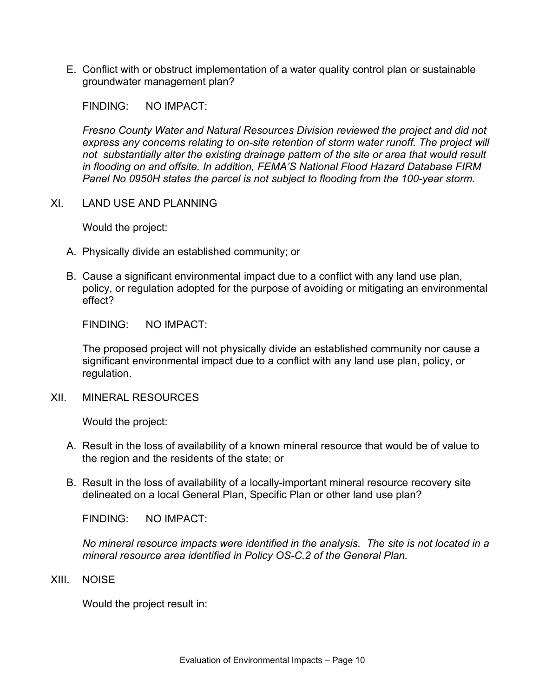E. Conflict with or obstruct implementation of a water quality control plan or sustainable groundwater management plan?

FINDING: NO IMPACT:

*Fresno County Water and Natural Resources Division reviewed the project and did not*  express any concerns relating to on-site retention of storm water runoff. The project will *not substantially alter the existing drainage pattern of the site or area that would result in flooding on and offsite. In addition, FEMA'S National Flood Hazard Database FIRM Panel No 0950H states the parcel is not subject to flooding from the 100-year storm.*

XI. LAND USE AND PLANNING

Would the project:

- A. Physically divide an established community; or
- B. Cause a significant environmental impact due to a conflict with any land use plan, policy, or regulation adopted for the purpose of avoiding or mitigating an environmental effect?

FINDING: NO IMPACT:

The proposed project will not physically divide an established community nor cause a significant environmental impact due to a conflict with any land use plan, policy, or regulation.

XII. MINERAL RESOURCES

Would the project:

- A. Result in the loss of availability of a known mineral resource that would be of value to the region and the residents of the state; or
- B. Result in the loss of availability of a locally-important mineral resource recovery site delineated on a local General Plan, Specific Plan or other land use plan?

FINDING: NO IMPACT:

*No mineral resource impacts were identified in the analysis. The site is not located in a mineral resource area identified in Policy OS-C.2 of the General Plan.*

XIII. NOISE

Would the project result in: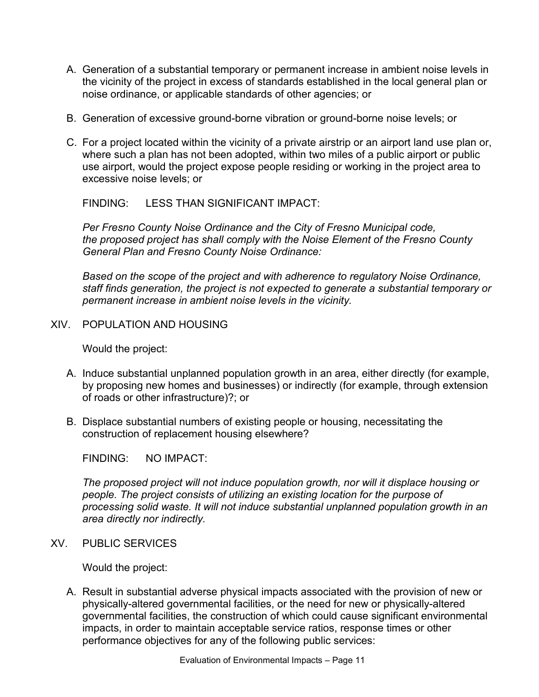- A. Generation of a substantial temporary or permanent increase in ambient noise levels in the vicinity of the project in excess of standards established in the local general plan or noise ordinance, or applicable standards of other agencies; or
- B. Generation of excessive ground-borne vibration or ground-borne noise levels; or
- C. For a project located within the vicinity of a private airstrip or an airport land use plan or, where such a plan has not been adopted, within two miles of a public airport or public use airport, would the project expose people residing or working in the project area to excessive noise levels; or

*Per Fresno County Noise Ordinance and the City of Fresno Municipal code, the proposed project has shall comply with the Noise Element of the Fresno County General Plan and Fresno County Noise Ordinance:*

*Based on the scope of the project and with adherence to regulatory Noise Ordinance, staff finds generation, the project is not expected to generate a substantial temporary or permanent increase in ambient noise levels in the vicinity.* 

XIV. POPULATION AND HOUSING

Would the project:

- A. Induce substantial unplanned population growth in an area, either directly (for example, by proposing new homes and businesses) or indirectly (for example, through extension of roads or other infrastructure)?; or
- B. Displace substantial numbers of existing people or housing, necessitating the construction of replacement housing elsewhere?

FINDING: NO IMPACT:

*The proposed project will not induce population growth, nor will it displace housing or people. The project consists of utilizing an existing location for the purpose of processing solid waste. It will not induce substantial unplanned population growth in an area directly nor indirectly.*

XV. PUBLIC SERVICES

Would the project:

A. Result in substantial adverse physical impacts associated with the provision of new or physically-altered governmental facilities, or the need for new or physically-altered governmental facilities, the construction of which could cause significant environmental impacts, in order to maintain acceptable service ratios, response times or other performance objectives for any of the following public services: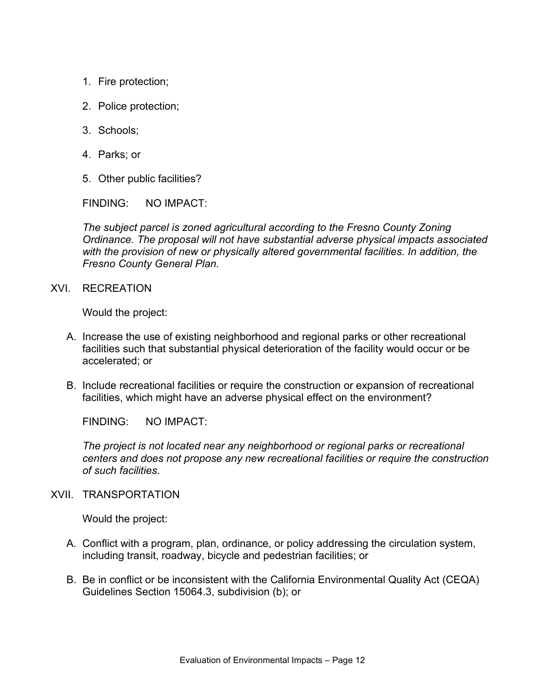- 1. Fire protection;
- 2. Police protection;
- 3. Schools;
- 4. Parks; or
- 5. Other public facilities?

FINDING: NO IMPACT:

*The subject parcel is zoned agricultural according to the Fresno County Zoning Ordinance. The proposal will not have substantial adverse physical impacts associated with the provision of new or physically altered governmental facilities. In addition, the Fresno County General Plan.*

XVI. RECREATION

Would the project:

- A. Increase the use of existing neighborhood and regional parks or other recreational facilities such that substantial physical deterioration of the facility would occur or be accelerated; or
- B. Include recreational facilities or require the construction or expansion of recreational facilities, which might have an adverse physical effect on the environment?

FINDING: NO IMPACT:

*The project is not located near any neighborhood or regional parks or recreational centers and does not propose any new recreational facilities or require the construction of such facilities*.

### XVII. TRANSPORTATION

- A. Conflict with a program, plan, ordinance, or policy addressing the circulation system, including transit, roadway, bicycle and pedestrian facilities; or
- B. Be in conflict or be inconsistent with the California Environmental Quality Act (CEQA) Guidelines Section 15064.3, subdivision (b); or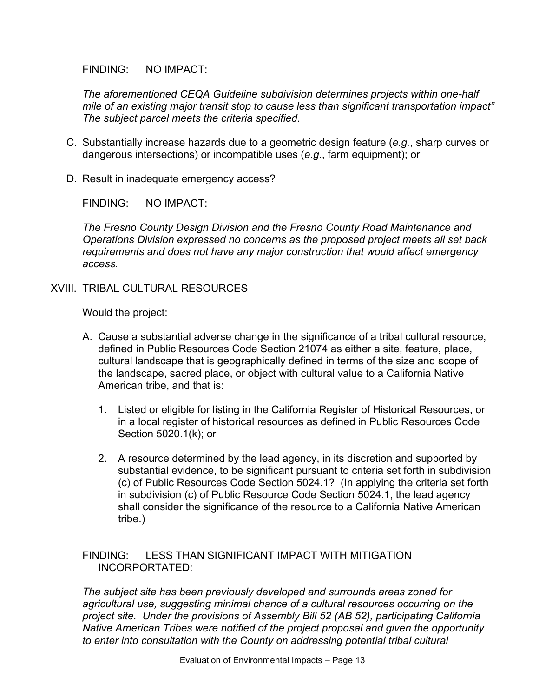FINDING: NO IMPACT:

*The aforementioned CEQA Guideline subdivision determines projects within one-half mile of an existing major transit stop to cause less than significant transportation impact" The subject parcel meets the criteria specified.*

- C. Substantially increase hazards due to a geometric design feature (*e.g.*, sharp curves or dangerous intersections) or incompatible uses (*e.g.*, farm equipment); or
- D. Result in inadequate emergency access?

FINDING: NO IMPACT:

*The Fresno County Design Division and the Fresno County Road Maintenance and Operations Division expressed no concerns as the proposed project meets all set back requirements and does not have any major construction that would affect emergency access.* 

XVIII. TRIBAL CULTURAL RESOURCES

Would the project:

- A. Cause a substantial adverse change in the significance of a tribal cultural resource, defined in Public Resources Code Section 21074 as either a site, feature, place, cultural landscape that is geographically defined in terms of the size and scope of the landscape, sacred place, or object with cultural value to a California Native American tribe, and that is:
	- 1. Listed or eligible for listing in the California Register of Historical Resources, or in a local register of historical resources as defined in Public Resources Code Section 5020.1(k); or
	- 2. A resource determined by the lead agency, in its discretion and supported by substantial evidence, to be significant pursuant to criteria set forth in subdivision (c) of Public Resources Code Section 5024.1? (In applying the criteria set forth in subdivision (c) of Public Resource Code Section 5024.1, the lead agency shall consider the significance of the resource to a California Native American tribe.)

#### FINDING: LESS THAN SIGNIFICANT IMPACT WITH MITIGATION INCORPORTATED:

*The subject site has been previously developed and surrounds areas zoned for agricultural use, suggesting minimal chance of a cultural resources occurring on the project site. Under the provisions of Assembly Bill 52 (AB 52), participating California Native American Tribes were notified of the project proposal and given the opportunity to enter into consultation with the County on addressing potential tribal cultural*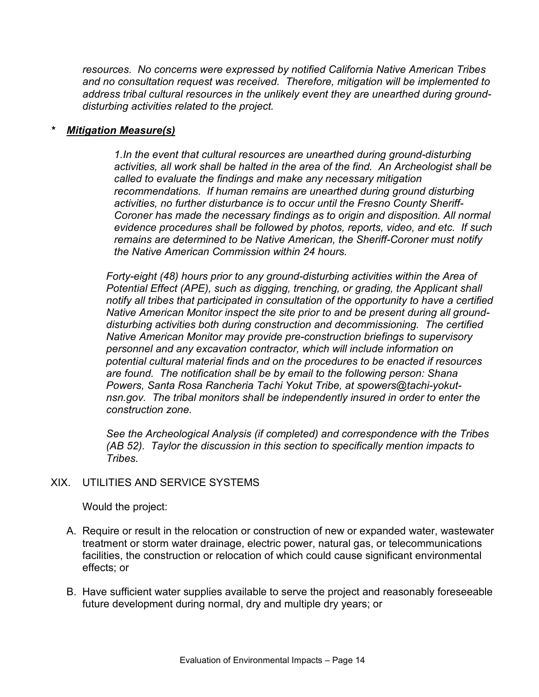*resources. No concerns were expressed by notified California Native American Tribes and no consultation request was received. Therefore, mitigation will be implemented to address tribal cultural resources in the unlikely event they are unearthed during grounddisturbing activities related to the project.* 

#### *\* Mitigation Measure(s)*

*1.In the event that cultural resources are unearthed during ground-disturbing activities, all work shall be halted in the area of the find. An Archeologist shall be called to evaluate the findings and make any necessary mitigation recommendations. If human remains are unearthed during ground disturbing activities, no further disturbance is to occur until the Fresno County Sheriff-Coroner has made the necessary findings as to origin and disposition. All normal evidence procedures shall be followed by photos, reports, video, and etc. If such remains are determined to be Native American, the Sheriff-Coroner must notify the Native American Commission within 24 hours.*

*Forty-eight (48) hours prior to any ground-disturbing activities within the Area of Potential Effect (APE), such as digging, trenching, or grading, the Applicant shall notify all tribes that participated in consultation of the opportunity to have a certified Native American Monitor inspect the site prior to and be present during all grounddisturbing activities both during construction and decommissioning. The certified Native American Monitor may provide pre-construction briefings to supervisory personnel and any excavation contractor, which will include information on potential cultural material finds and on the procedures to be enacted if resources are found. The notification shall be by email to the following person: Shana Powers, Santa Rosa Rancheria Tachi Yokut Tribe, at spowers@tachi-yokutnsn.gov. The tribal monitors shall be independently insured in order to enter the construction zone.*

*See the Archeological Analysis (if completed) and correspondence with the Tribes (AB 52). Taylor the discussion in this section to specifically mention impacts to Tribes.*

### XIX. UTILITIES AND SERVICE SYSTEMS

- A. Require or result in the relocation or construction of new or expanded water, wastewater treatment or storm water drainage, electric power, natural gas, or telecommunications facilities, the construction or relocation of which could cause significant environmental effects; or
- B. Have sufficient water supplies available to serve the project and reasonably foreseeable future development during normal, dry and multiple dry years; or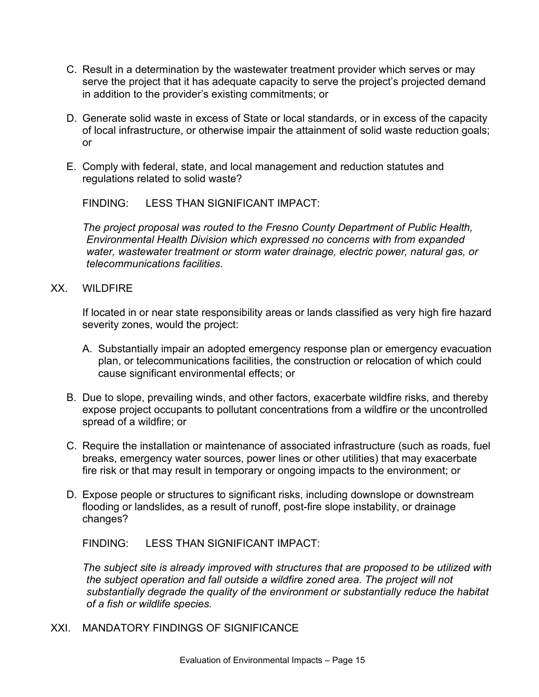- C. Result in a determination by the wastewater treatment provider which serves or may serve the project that it has adequate capacity to serve the project's projected demand in addition to the provider's existing commitments; or
- D. Generate solid waste in excess of State or local standards, or in excess of the capacity of local infrastructure, or otherwise impair the attainment of solid waste reduction goals; or
- E. Comply with federal, state, and local management and reduction statutes and regulations related to solid waste?

*The project proposal was routed to the Fresno County Department of Public Health, Environmental Health Division which expressed no concerns with from expanded water, wastewater treatment or storm water drainage, electric power, natural gas, or telecommunications facilities.* 

XX. WILDFIRE

If located in or near state responsibility areas or lands classified as very high fire hazard severity zones, would the project:

- A. Substantially impair an adopted emergency response plan or emergency evacuation plan, or telecommunications facilities, the construction or relocation of which could cause significant environmental effects; or
- B. Due to slope, prevailing winds, and other factors, exacerbate wildfire risks, and thereby expose project occupants to pollutant concentrations from a wildfire or the uncontrolled spread of a wildfire; or
- C. Require the installation or maintenance of associated infrastructure (such as roads, fuel breaks, emergency water sources, power lines or other utilities) that may exacerbate fire risk or that may result in temporary or ongoing impacts to the environment; or
- D. Expose people or structures to significant risks, including downslope or downstream flooding or landslides, as a result of runoff, post-fire slope instability, or drainage changes?

FINDING: LESS THAN SIGNIFICANT IMPACT:

*The subject site is already improved with structures that are proposed to be utilized with the subject operation and fall outside a wildfire zoned area. The project will not substantially degrade the quality of the environment or substantially reduce the habitat of a fish or wildlife species.*

XXI. MANDATORY FINDINGS OF SIGNIFICANCE